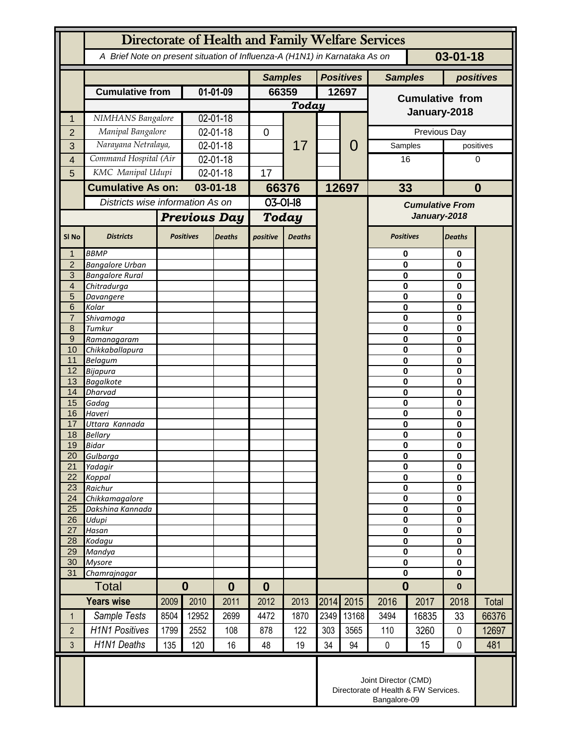|                       | Directorate of Health and Family Welfare Services                                            |          |                     |                |                  |               |                  |                |                            |                                                                              |                   |              |  |
|-----------------------|----------------------------------------------------------------------------------------------|----------|---------------------|----------------|------------------|---------------|------------------|----------------|----------------------------|------------------------------------------------------------------------------|-------------------|--------------|--|
|                       | $03 - 01 - 18$<br>A Brief Note on present situation of Influenza-A (H1N1) in Karnataka As on |          |                     |                |                  |               |                  |                |                            |                                                                              |                   |              |  |
|                       |                                                                                              |          |                     | <b>Samples</b> |                  |               | <b>Positives</b> | <b>Samples</b> |                            | positives                                                                    |                   |              |  |
|                       | <b>Cumulative from</b>                                                                       |          | 01-01-09            |                | 66359            |               |                  | 12697          | <b>Cumulative from</b>     |                                                                              |                   |              |  |
|                       |                                                                                              |          |                     |                |                  | <b>Today</b>  |                  |                |                            |                                                                              |                   |              |  |
| 1                     | NIMHANS Bangalore                                                                            |          | 02-01-18            |                |                  | 17            |                  |                | January-2018               |                                                                              |                   |              |  |
| $\overline{2}$        | Manipal Bangalore                                                                            |          | 02-01-18            |                | 0                |               |                  |                | Previous Day               |                                                                              |                   |              |  |
| 3                     | Narayana Netralaya,                                                                          |          | 02-01-18            |                |                  |               |                  | 0              | Samples                    |                                                                              |                   | positives    |  |
| $\overline{4}$        | Command Hospital (Air                                                                        |          | 02-01-18            |                |                  |               |                  |                |                            | 16                                                                           |                   | 0            |  |
| 5                     | KMC Manipal Udupi                                                                            |          | 02-01-18            |                | 17               |               |                  |                |                            |                                                                              |                   |              |  |
|                       | <b>Cumulative As on:</b><br>Districts wise information As on                                 |          | $03 - 01 - 18$      |                | 66376            |               | 12697            |                | 33                         |                                                                              |                   | $\bf{0}$     |  |
|                       |                                                                                              |          |                     |                | 03-01-18         |               |                  |                | <b>Cumulative From</b>     |                                                                              |                   |              |  |
|                       |                                                                                              |          | <b>Previous Day</b> |                | <b>Today</b>     |               |                  |                | January-2018               |                                                                              |                   |              |  |
|                       |                                                                                              |          |                     |                |                  |               |                  |                |                            |                                                                              |                   |              |  |
| SI <sub>No</sub>      | <b>Districts</b>                                                                             |          | <b>Positives</b>    | <b>Deaths</b>  | positive         | <b>Deaths</b> |                  |                | <b>Positives</b>           |                                                                              | <b>Deaths</b>     |              |  |
| $\mathbf 1$           | <b>BBMP</b>                                                                                  |          |                     |                |                  |               |                  |                | 0                          |                                                                              | 0                 |              |  |
| $\overline{2}$<br>3   | <b>Bangalore Urban</b>                                                                       |          |                     |                |                  |               |                  |                | 0                          |                                                                              | 0<br>$\mathbf{0}$ |              |  |
| 4                     | <b>Bangalore Rural</b><br>Chitradurga                                                        |          |                     |                |                  |               |                  |                | $\bf{0}$<br>0              |                                                                              | 0                 |              |  |
| 5                     | Davangere                                                                                    |          |                     |                |                  |               |                  |                | 0                          |                                                                              | 0                 |              |  |
| 6                     | Kolar                                                                                        |          |                     |                |                  |               |                  |                | 0                          |                                                                              | 0                 |              |  |
| $\overline{7}$        | Shivamoga                                                                                    |          |                     |                |                  |               |                  |                |                            | $\bf{0}$                                                                     |                   |              |  |
| 8<br>$\overline{9}$   | Tumkur                                                                                       |          |                     |                |                  |               |                  |                | 0<br>0                     |                                                                              | 0<br>0            |              |  |
| 10                    | Ramanagaram<br>Chikkaballapura                                                               |          |                     |                |                  |               |                  |                | 0                          |                                                                              | 0                 |              |  |
| 11                    | <b>Belagum</b>                                                                               |          |                     |                |                  |               |                  |                | $\bf{0}$                   |                                                                              | $\mathbf 0$       |              |  |
| 12                    | Bijapura                                                                                     |          |                     |                |                  |               |                  |                | 0                          |                                                                              | 0                 |              |  |
| 13                    | <b>Bagalkote</b>                                                                             |          |                     |                |                  |               |                  |                | 0                          |                                                                              | 0                 |              |  |
| 14<br>15              | <b>Dharvad</b><br>Gadag                                                                      |          |                     |                |                  |               |                  |                | 0<br>0                     |                                                                              | 0<br>0            |              |  |
| 16                    | Haveri                                                                                       |          |                     |                |                  |               |                  |                | 0                          |                                                                              | 0                 |              |  |
| 17                    | Uttara Kannada                                                                               |          |                     |                |                  |               |                  |                | 0                          |                                                                              | 0                 |              |  |
| 18                    | <b>Bellary</b>                                                                               |          |                     |                |                  |               |                  |                | 0                          |                                                                              | 0                 |              |  |
| 19                    | <b>Bidar</b>                                                                                 |          |                     |                |                  |               |                  |                | $\mathbf 0$                |                                                                              | $\mathbf 0$       |              |  |
| 20<br>21              | Gulbarga<br>Yadagir                                                                          |          |                     |                |                  |               |                  |                | 0<br>$\bf{0}$              |                                                                              | 0<br>0            |              |  |
| 22                    | Koppal                                                                                       |          |                     |                |                  |               |                  |                | 0                          |                                                                              | 0                 |              |  |
| 23                    | Raichur                                                                                      |          |                     |                |                  |               |                  |                | $\pmb{0}$                  |                                                                              | 0                 |              |  |
| 24                    | Chikkamagalore                                                                               |          |                     |                |                  |               |                  |                | 0                          |                                                                              | 0                 |              |  |
| 25<br>$\overline{26}$ | Dakshina Kannada<br>Udupi                                                                    |          |                     |                |                  |               |                  |                | $\pmb{0}$                  |                                                                              | 0<br>0            |              |  |
| 27                    | Hasan                                                                                        |          |                     |                |                  |               |                  |                | $\mathbf 0$<br>$\mathbf 0$ |                                                                              | 0                 |              |  |
| 28                    | Kodagu                                                                                       |          |                     |                |                  |               |                  |                | $\mathbf 0$                |                                                                              | 0                 |              |  |
| 29                    | Mandya                                                                                       |          |                     |                |                  |               |                  |                | 0                          |                                                                              | 0                 |              |  |
| 30                    | <b>Mysore</b>                                                                                |          |                     |                |                  |               |                  |                | $\bf{0}$                   |                                                                              | 0                 |              |  |
| 31                    | Chamrajnagar                                                                                 |          |                     |                |                  |               |                  |                | $\mathbf 0$                |                                                                              | $\mathbf{0}$      |              |  |
| Total                 |                                                                                              | $\bf{0}$ |                     | $\bf{0}$       | $\boldsymbol{0}$ |               |                  |                | $\bf{0}$                   |                                                                              | $\bf{0}$          |              |  |
|                       | <b>Years wise</b>                                                                            | 2009     | 2010                | 2011           | 2012             | 2013          | 2014             | 2015           | 2016                       | 2017                                                                         | 2018              | <b>Total</b> |  |
| $\mathbf{1}$          | Sample Tests                                                                                 | 8504     | 12952               | 2699           | 4472             | 1870          | 2349             | 13168          | 3494                       | 16835                                                                        | 33                | 66376        |  |
| $\overline{2}$        | <b>H1N1 Positives</b>                                                                        | 1799     | 2552                | 108            | 878              | 122           | 303              | 3565           | 110                        | 3260                                                                         | $\mathbf 0$       | 12697        |  |
| 3                     | H1N1 Deaths                                                                                  | 135      | 120                 | 16             | 48               | 19            | 34               | 94             | $\mathbf 0$                | 15                                                                           | 0                 | 481          |  |
|                       |                                                                                              |          |                     |                |                  |               |                  |                |                            | Joint Director (CMD)<br>Directorate of Health & FW Services.<br>Bangalore-09 |                   |              |  |